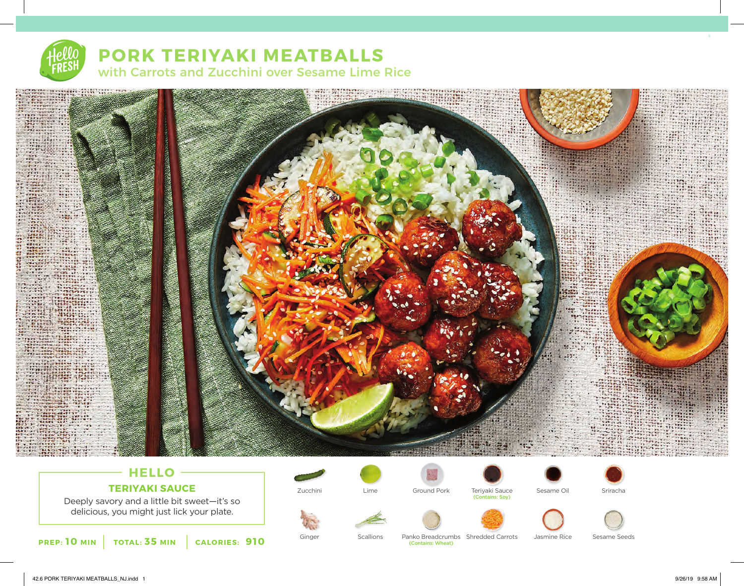# **PORK TERIYAKI MEATBALLS** with Carrots and Zucchini over Sesame Lime Rice



## **HELLO TERIYAKI SAUCE**

Deeply savory and a little bit sweet—it's so delicious, you might just lick your plate.





















(Contains: Wheat)